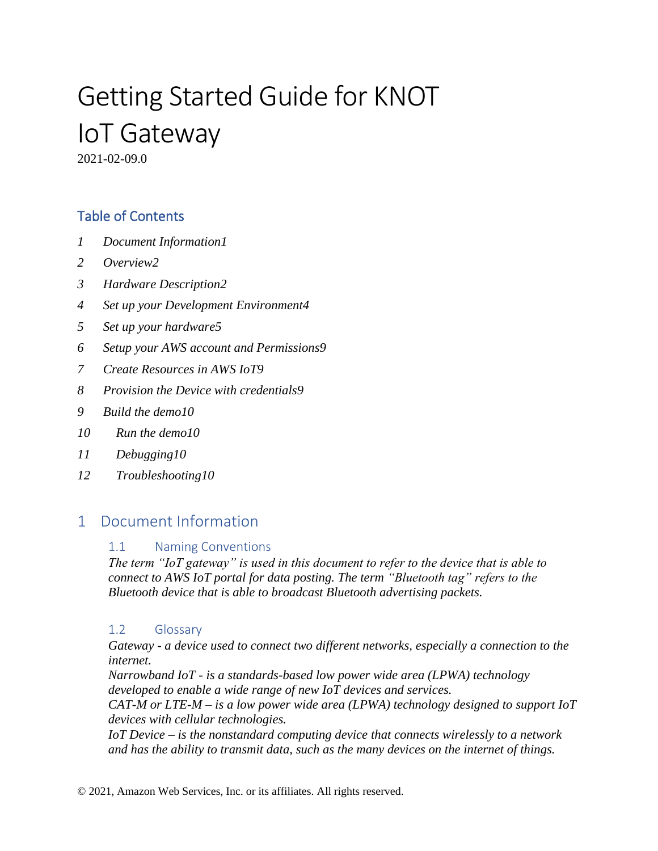# Getting Started Guide for KNOT IoT Gateway

2021-02-09.0

## Table of Contents

- *1 [Document Information1](#page-0-0)*
- *2 [Overview2](#page-1-0)*
- *3 [Hardware Description2](#page-1-1)*
- *4 [Set up your Development Environment4](#page-3-0)*
- *5 [Set up your hardware5](#page-4-0)*
- *6 Setup [your AWS account and Permissions9](#page-8-0)*
- *7 [Create Resources in AWS IoT9](#page-8-1)*
- *8 [Provision the Device with credentials9](#page-8-2)*
- *9 [Build the demo10](#page-9-0)*
- *10 [Run the demo10](#page-9-1)*
- *11 [Debugging10](#page-9-2)*
- *12 [Troubleshooting10](#page-9-3)*

# <span id="page-0-0"></span>1 Document Information

#### 1.1 Naming Conventions

*The term "IoT gateway" is used in this document to refer to the device that is able to connect to AWS IoT portal for data posting. The term "Bluetooth tag" refers to the Bluetooth device that is able to broadcast Bluetooth advertising packets.*

#### 1.2 Glossary

*Gateway - a device used to connect two different networks, especially a connection to the internet.* 

*Narrowband IoT - is a standards-based low power wide area (LPWA) technology developed to enable a wide range of new IoT devices and services.*

*CAT-M or LTE-M – is a low power wide area (LPWA) technology designed to support IoT devices with cellular technologies.*

*IoT Device – is the nonstandard computing device that connects wirelessly to a network and has the ability to transmit data, such as the many devices on the internet of things.*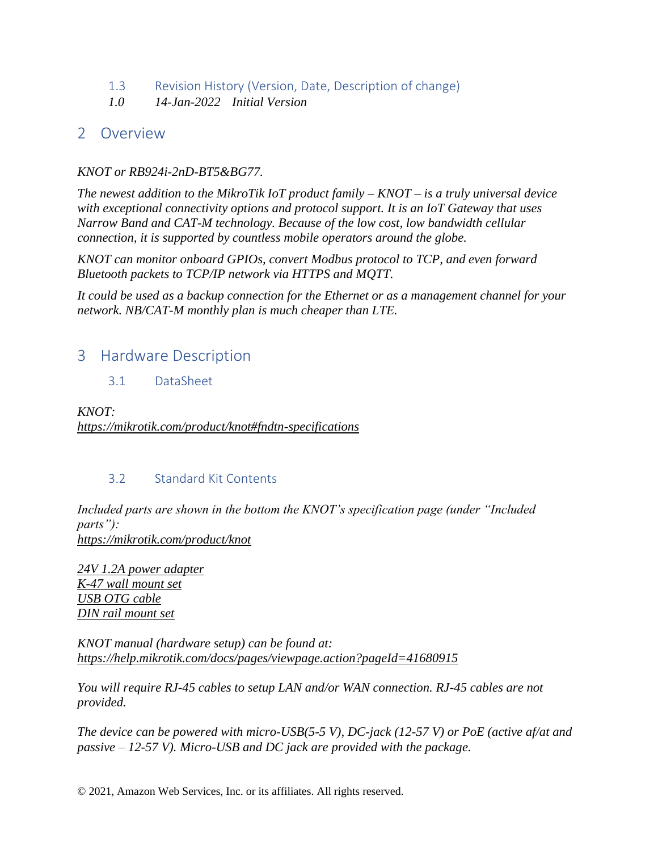- 1.3 Revision History (Version, Date, Description of change)
- *1.0 14-Jan-2022 Initial Version*

#### <span id="page-1-0"></span>2 Overview

#### *KNOT or RB924i-2nD-BT5&BG77.*

*The newest addition to the MikroTik IoT product family – KNOT – is a truly universal device with exceptional connectivity options and protocol support. It is an IoT Gateway that uses Narrow Band and CAT-M technology. Because of the low cost, low bandwidth cellular connection, it is supported by countless mobile operators around the globe.* 

*KNOT can monitor onboard GPIOs, convert Modbus protocol to TCP, and even forward Bluetooth packets to TCP/IP network via HTTPS and MQTT.* 

*It could be used as a backup connection for the Ethernet or as a management channel for your network. NB/CAT-M monthly plan is much cheaper than LTE.*

#### <span id="page-1-1"></span>3 Hardware Description

3.1 DataSheet

*KNOT: <https://mikrotik.com/product/knot#fndtn-specifications>*

#### 3.2 Standard Kit Contents

*Included parts are shown in the bottom the KNOT's specification page (under "Included parts"): https://mikrotik.com/product/knot*

*[24V 1.2A power adapter](https://i.mt.lv/cdn/rb_images/part331393422988m.jpg)  [K-47 wall mount set](https://i.mt.lv/cdn/rb_images/part1071615203508m.jpg) [USB OTG cable](https://i.mt.lv/cdn/rb_images/part151391160298m.jpg) [DIN rail mount set](https://i.mt.lv/cdn/rb_images/part1241615203583m.jpg)* 

*KNOT manual (hardware setup) can be found at: https://help.mikrotik.com/docs/pages/viewpage.action?pageId=41680915*

*You will require RJ-45 cables to setup LAN and/or WAN connection. RJ-45 cables are not provided.*

*The device can be powered with micro-USB(5-5 V), DC-jack (12-57 V) or PoE (active af/at and passive – 12-57 V). Micro-USB and DC jack are provided with the package.*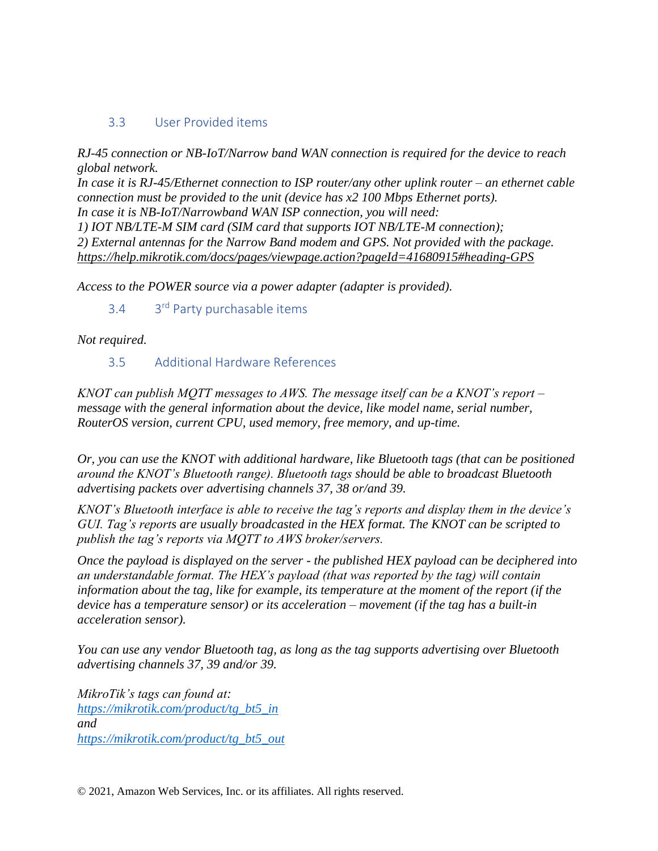#### 3.3 User Provided items

*RJ-45 connection or NB-IoT/Narrow band WAN connection is required for the device to reach global network.*

*In case it is RJ-45/Ethernet connection to ISP router/any other uplink router – an ethernet cable connection must be provided to the unit (device has x2 100 Mbps Ethernet ports).*

*In case it is NB-IoT/Narrowband WAN ISP connection, you will need:*

*1) IOT NB/LTE-M SIM card (SIM card that supports IOT NB/LTE-M connection); 2) External antennas for the Narrow Band modem and GPS. Not provided with the package. <https://help.mikrotik.com/docs/pages/viewpage.action?pageId=41680915#heading-GPS>*

*Access to the POWER source via a power adapter (adapter is provided).*

#### 3.4 3 3<sup>rd</sup> Party purchasable items

*Not required.*

#### 3.5 Additional Hardware References

*KNOT can publish MQTT messages to AWS. The message itself can be a KNOT's report – message with the general information about the device, like model name, serial number, RouterOS version, current CPU, used memory, free memory, and up-time.*

*Or, you can use the KNOT with additional hardware, like Bluetooth tags (that can be positioned around the KNOT's Bluetooth range). Bluetooth tags should be able to broadcast Bluetooth advertising packets over advertising channels 37, 38 or/and 39.*

*KNOT's Bluetooth interface is able to receive the tag's reports and display them in the device's GUI. Tag's reports are usually broadcasted in the HEX format. The KNOT can be scripted to publish the tag's reports via MQTT to AWS broker/servers.*

*Once the payload is displayed on the server - the published HEX payload can be deciphered into an understandable format. The HEX's payload (that was reported by the tag) will contain information about the tag, like for example, its temperature at the moment of the report (if the device has a temperature sensor) or its acceleration – movement (if the tag has a built-in acceleration sensor).*

*You can use any vendor Bluetooth tag, as long as the tag supports advertising over Bluetooth advertising channels 37, 39 and/or 39.*

*MikroTik's tags can found at: https://mikrotik.com/product/tg\_bt5\_in and https://mikrotik.com/product/tg\_bt5\_out*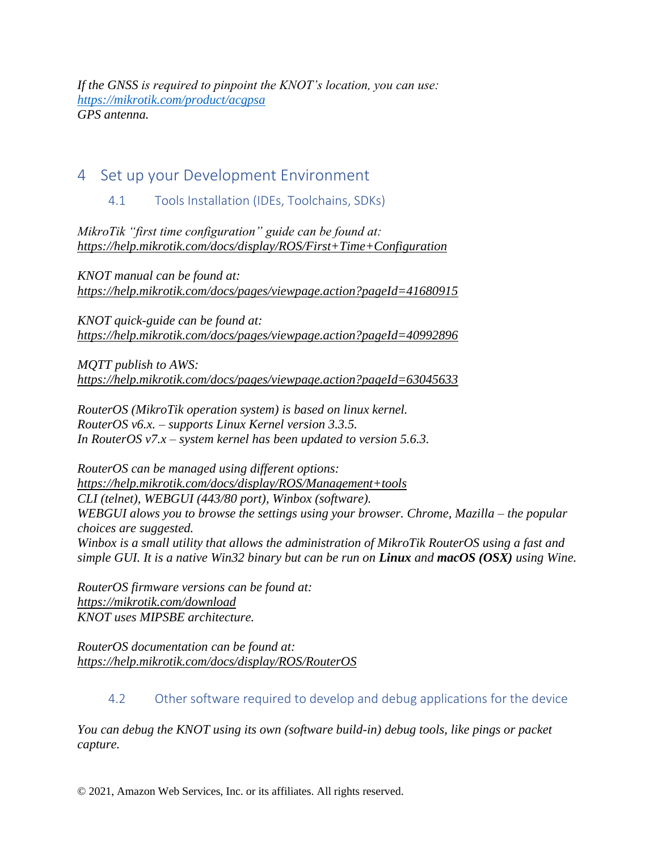*If the GNSS is required to pinpoint the KNOT's location, you can use: https://mikrotik.com/product/acgpsa GPS antenna.*

# <span id="page-3-0"></span>4 Set up your Development Environment

#### 4.1 Tools Installation (IDEs, Toolchains, SDKs)

*MikroTik "first time configuration" guide can be found at: <https://help.mikrotik.com/docs/display/ROS/First+Time+Configuration>*

*KNOT manual can be found at: <https://help.mikrotik.com/docs/pages/viewpage.action?pageId=41680915>*

*KNOT quick-guide can be found at: <https://help.mikrotik.com/docs/pages/viewpage.action?pageId=40992896>*

*MQTT publish to AWS: https://help.mikrotik.com/docs/pages/viewpage.action?pageId=63045633*

*RouterOS (MikroTik operation system) is based on linux kernel. RouterOS v6.x. – supports Linux Kernel version 3.3.5. In RouterOS v7.x – system kernel has been updated to version 5.6.3.*

*RouterOS can be managed using different options: https://help.mikrotik.com/docs/display/ROS/Management+tools CLI (telnet), WEBGUI (443/80 port), Winbox (software). WEBGUI alows you to browse the settings using your browser. Chrome, Mazilla – the popular choices are suggested. Winbox is a small utility that allows the administration of MikroTik RouterOS using a fast and simple GUI. It is a native Win32 binary but can be run on Linux and macOS (OSX) using Wine.* 

*RouterOS firmware versions can be found at: https://mikrotik.com/download KNOT uses MIPSBE architecture.*

*RouterOS documentation can be found at: <https://help.mikrotik.com/docs/display/ROS/RouterOS>*

#### 4.2 Other software required to develop and debug applications for the device

*You can debug the KNOT using its own (software build-in) debug tools, like pings or packet capture.*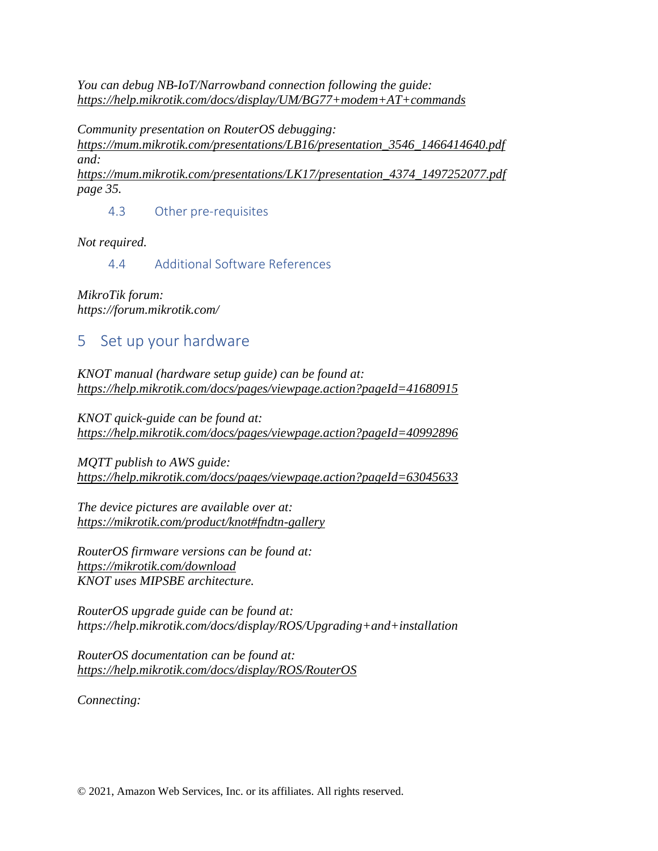*You can debug NB-IoT/Narrowband connection following the guide: <https://help.mikrotik.com/docs/display/UM/BG77+modem+AT+commands>*

*Community presentation on RouterOS debugging:*

*[https://mum.mikrotik.com/presentations/LB16/presentation\\_3546\\_1466414640.pdf](https://mum.mikrotik.com/presentations/LB16/presentation_3546_1466414640.pdf) and: [https://mum.mikrotik.com/presentations/LK17/presentation\\_4374\\_1497252077.pdf](https://mum.mikrotik.com/presentations/LK17/presentation_4374_1497252077.pdf)*

*page 35.*

4.3 Other pre-requisites

*Not required.*

4.4 Additional Software References

*MikroTik forum: https://forum.mikrotik.com/*

# <span id="page-4-0"></span>5 Set up your hardware

*KNOT manual (hardware setup guide) can be found at: <https://help.mikrotik.com/docs/pages/viewpage.action?pageId=41680915>*

*KNOT quick-guide can be found at: <https://help.mikrotik.com/docs/pages/viewpage.action?pageId=40992896>*

*MQTT publish to AWS guide: <https://help.mikrotik.com/docs/pages/viewpage.action?pageId=63045633>*

*The device pictures are available over at: <https://mikrotik.com/product/knot#fndtn-gallery>*

*RouterOS firmware versions can be found at: <https://mikrotik.com/download> KNOT uses MIPSBE architecture.*

*RouterOS upgrade guide can be found at: https://help.mikrotik.com/docs/display/ROS/Upgrading+and+installation*

*RouterOS documentation can be found at: https://help.mikrotik.com/docs/display/ROS/RouterOS*

*Connecting:*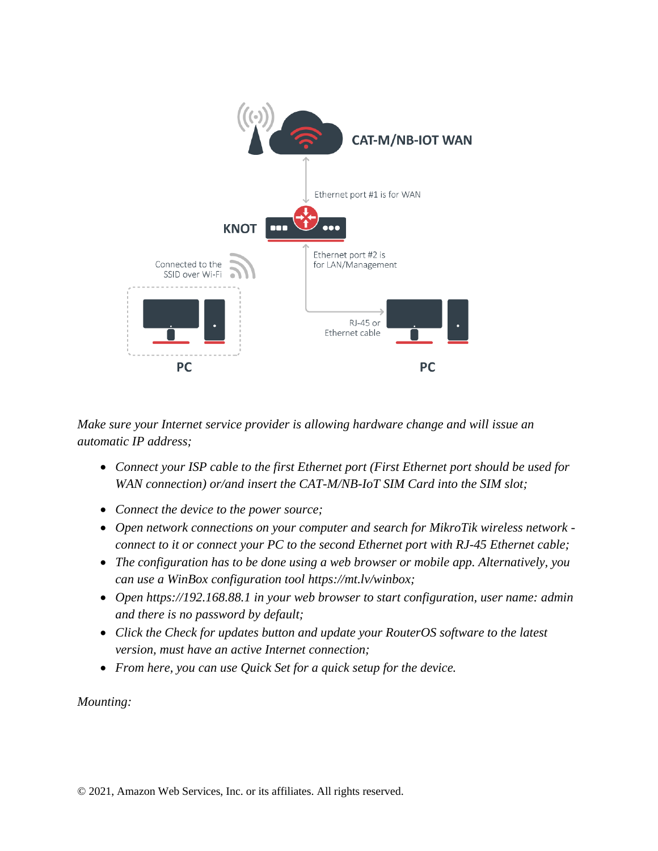

*Make sure your Internet service provider is allowing hardware change and will issue an automatic IP address;*

- *Connect your ISP cable to the first Ethernet port (First Ethernet port should be used for WAN connection) or/and insert the CAT-M/NB-IoT SIM Card into the SIM slot;*
- *Connect the device to the power source;*
- *Open network connections on your computer and search for MikroTik wireless network connect to it or connect your PC to the second Ethernet port with RJ-45 Ethernet cable;*
- *The configuration has to be done using a web browser or mobile app. Alternatively, you can use a WinBox configuration tool [https://mt.lv/winbox;](https://mt.lv/winbox)*
- *Open [https://192.168.88.1](https://192.168.88.1/) in your web browser to start configuration, user name: admin and there is no password by default;*
- *Click the Check for updates button and update your RouterOS software to the latest version, must have an active Internet connection;*
- *From here, you can use Quick Set for a quick setup for the device.*

*Mounting:*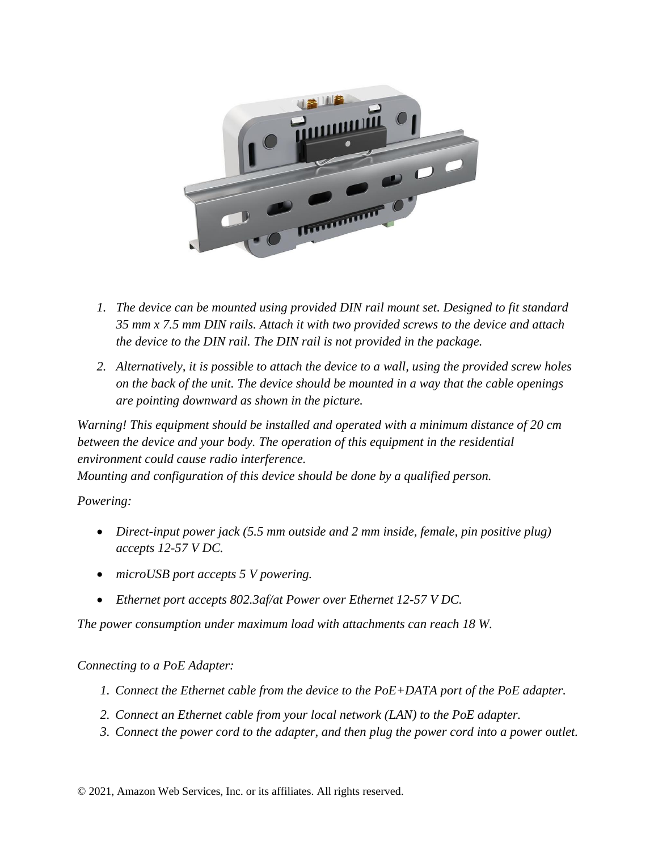

- *1. The device can be mounted using provided DIN rail mount set. Designed to fit standard 35 mm x 7.5 mm DIN rails. Attach it with two provided screws to the device and attach the device to the DIN rail. The DIN rail is not provided in the package.*
- *2. Alternatively, it is possible to attach the device to a wall, using the provided screw holes on the back of the unit. The device should be mounted in a way that the cable openings are pointing downward as shown in the picture.*

*Warning! This equipment should be installed and operated with a minimum distance of 20 cm between the device and your body. The operation of this equipment in the residential environment could cause radio interference. Mounting and configuration of this device should be done by a qualified person.*

*Powering:*

- *Direct-input power jack (5.5 mm outside and 2 mm inside, female, pin positive plug) accepts 12-57 V DC.*
- *microUSB port accepts 5 V powering.*
- *Ethernet port accepts 802.3af/at Power over Ethernet 12-57 V DC.*

*The power consumption under maximum load with attachments can reach 18 W.*

#### *Connecting to a PoE Adapter:*

- *1. Connect the Ethernet cable from the device to the PoE+DATA port of the PoE adapter.*
- *2. Connect an Ethernet cable from your local network (LAN) to the PoE adapter.*
- *3. Connect the power cord to the adapter, and then plug the power cord into a power outlet.*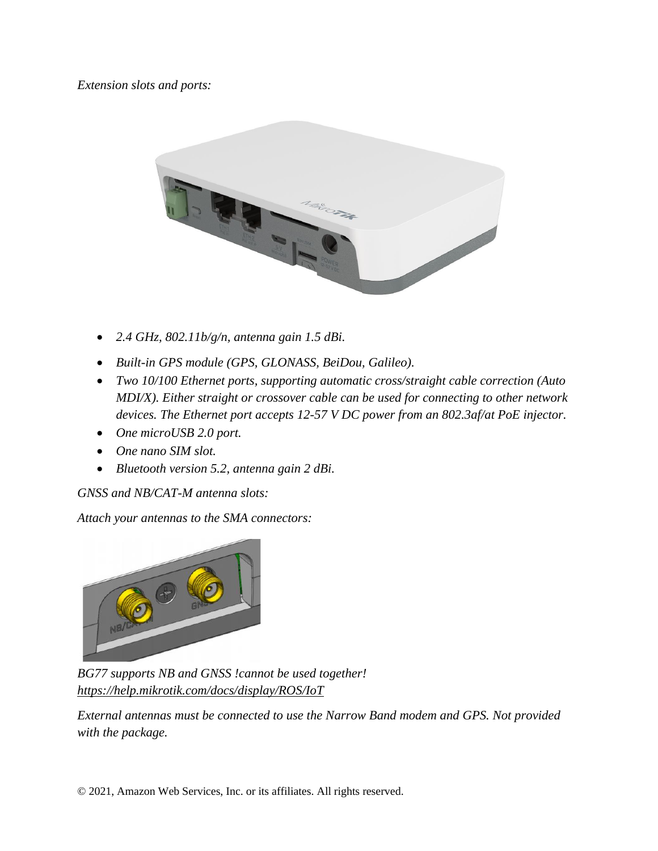*Extension slots and ports:*



- *2.4 GHz, 802.11b/g/n, antenna gain 1.5 dBi.*
- *Built-in GPS module (GPS, GLONASS, BeiDou, Galileo).*
- *Two 10/100 Ethernet ports, supporting automatic cross/straight cable correction (Auto MDI/X). Either straight or crossover cable can be used for connecting to other network devices. The Ethernet port accepts 12-57 V DC power from an 802.3af/at PoE injector.*
- *One microUSB 2.0 port.*
- *One nano SIM slot.*
- *Bluetooth version 5.2, antenna gain 2 dBi.*

*GNSS and NB/CAT-M antenna slots:*

*Attach your antennas to the SMA connectors:*



*BG77 supports NB and GNSS !cannot be used together! <https://help.mikrotik.com/docs/display/ROS/IoT>*

*External antennas must be connected to use the Narrow Band modem and GPS. Not provided with the package.*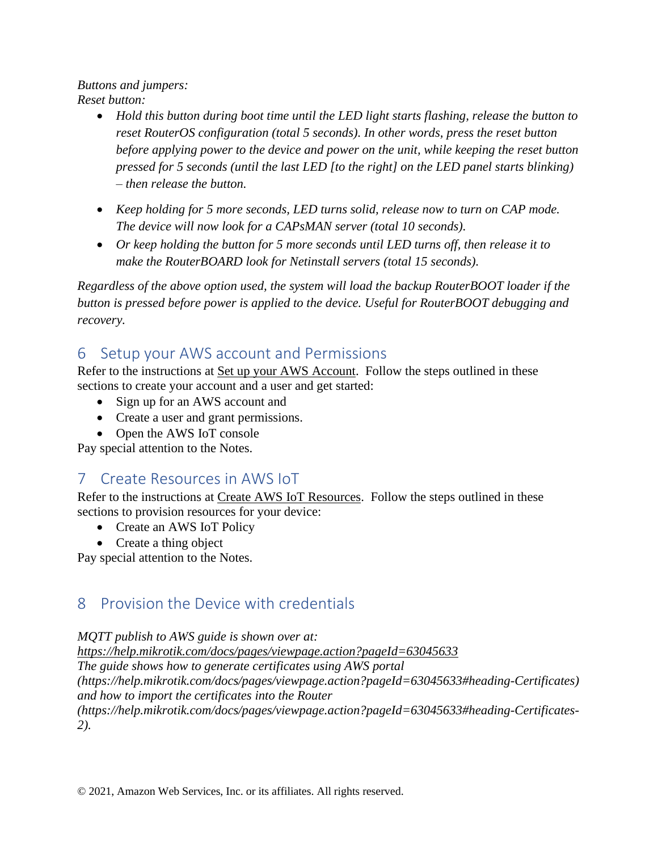*Buttons and jumpers: Reset button:*

- *Hold this button during boot time until the LED light starts flashing, release the button to reset RouterOS configuration (total 5 seconds). In other words, press the reset button before applying power to the device and power on the unit, while keeping the reset button pressed for 5 seconds (until the last LED [to the right] on the LED panel starts blinking) – then release the button.*
- *Keep holding for 5 more seconds, LED turns solid, release now to turn on CAP mode. The device will now look for a CAPsMAN server (total 10 seconds).*
- *Or keep holding the button for 5 more seconds until LED turns off, then release it to make the RouterBOARD look for Netinstall servers (total 15 seconds).*

*Regardless of the above option used, the system will load the backup RouterBOOT loader if the button is pressed before power is applied to the device. Useful for RouterBOOT debugging and recovery.*

# <span id="page-8-0"></span>6 Setup your AWS account and Permissions

Refer to the instructions at [Set up your AWS Account.](https://docs.aws.amazon.com/iot/latest/developerguide/setting-up.html) Follow the steps outlined in these sections to create your account and a user and get started:

- Sign up for an AWS account and
- Create a user and grant permissions.
- Open the AWS IoT console

<span id="page-8-1"></span>Pay special attention to the Notes.

# 7 Create Resources in AWS IoT

Refer to the instructions at [Create AWS IoT Resources.](https://docs.aws.amazon.com/iot/latest/developerguide/create-iot-resources.html) Follow the steps outlined in these sections to provision resources for your device:

- Create an AWS IoT Policy
- Create a thing object

Pay special attention to the Notes.

# <span id="page-8-2"></span>8 Provision the Device with credentials

*MQTT publish to AWS guide is shown over at:*

*https://help.mikrotik.com/docs/pages/viewpage.action?pageId=63045633 The guide shows how to generate certificates using AWS portal (https://help.mikrotik.com/docs/pages/viewpage.action?pageId=63045633#heading-Certificates) and how to import the certificates into the Router (https://help.mikrotik.com/docs/pages/viewpage.action?pageId=63045633#heading-Certificates-2).*